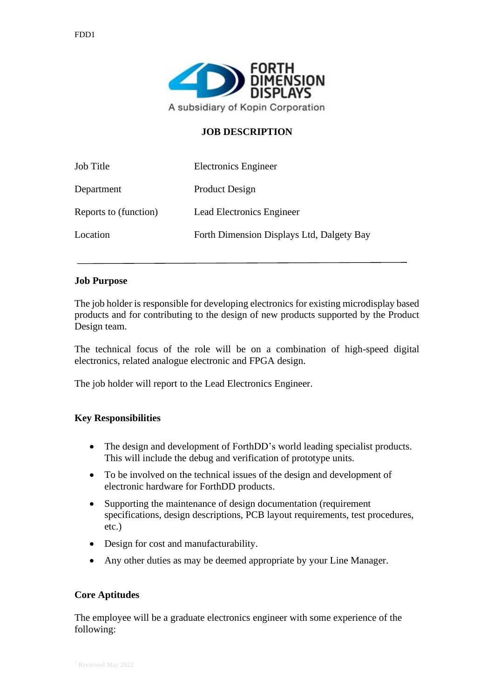

## **JOB DESCRIPTION**

| Job Title             | Electronics Engineer                      |
|-----------------------|-------------------------------------------|
| Department            | Product Design                            |
| Reports to (function) | Lead Electronics Engineer                 |
| Location              | Forth Dimension Displays Ltd, Dalgety Bay |

## **Job Purpose**

The job holder is responsible for developing electronics for existing microdisplay based products and for contributing to the design of new products supported by the Product Design team.

The technical focus of the role will be on a combination of high-speed digital electronics, related analogue electronic and FPGA design.

The job holder will report to the Lead Electronics Engineer.

## **Key Responsibilities**

- The design and development of ForthDD's world leading specialist products. This will include the debug and verification of prototype units.
- To be involved on the technical issues of the design and development of electronic hardware for ForthDD products.
- Supporting the maintenance of design documentation (requirement) specifications, design descriptions, PCB layout requirements, test procedures, etc.)
- Design for cost and manufacturability.
- Any other duties as may be deemed appropriate by your Line Manager.

#### **Core Aptitudes**

The employee will be a graduate electronics engineer with some experience of the following: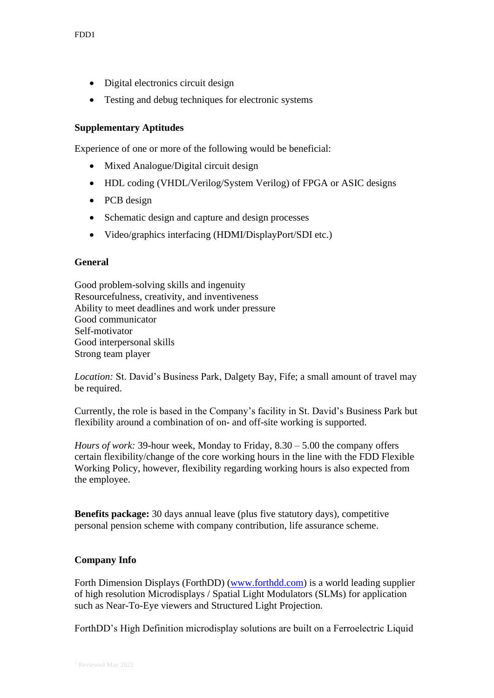- Digital electronics circuit design
- Testing and debug techniques for electronic systems

# **Supplementary Aptitudes**

Experience of one or more of the following would be beneficial:

- Mixed Analogue/Digital circuit design
- HDL coding (VHDL/Verilog/System Verilog) of FPGA or ASIC designs
- PCB design
- Schematic design and capture and design processes
- Video/graphics interfacing (HDMI/DisplayPort/SDI etc.)

## **General**

Good problem-solving skills and ingenuity Resourcefulness, creativity, and inventiveness Ability to meet deadlines and work under pressure Good communicator Self-motivator Good interpersonal skills Strong team player

*Location:* St. David's Business Park, Dalgety Bay, Fife; a small amount of travel may be required.

Currently, the role is based in the Company's facility in St. David's Business Park but flexibility around a combination of on- and off-site working is supported.

*Hours of work:* 39-hour week, Monday to Friday, 8.30 – 5.00 the company offers certain flexibility/change of the core working hours in the line with the FDD Flexible Working Policy, however, flexibility regarding working hours is also expected from the employee.

**Benefits package:** 30 days annual leave (plus five statutory days), competitive personal pension scheme with company contribution, life assurance scheme.

# **Company Info**

Forth Dimension Displays (ForthDD) [\(www.forthdd.com\)](http://www.forthdd.com/) is a world leading supplier of high resolution Microdisplays / Spatial Light Modulators (SLMs) for application such as Near-To-Eye viewers and Structured Light Projection.

ForthDD's High Definition microdisplay solutions are built on a Ferroelectric Liquid